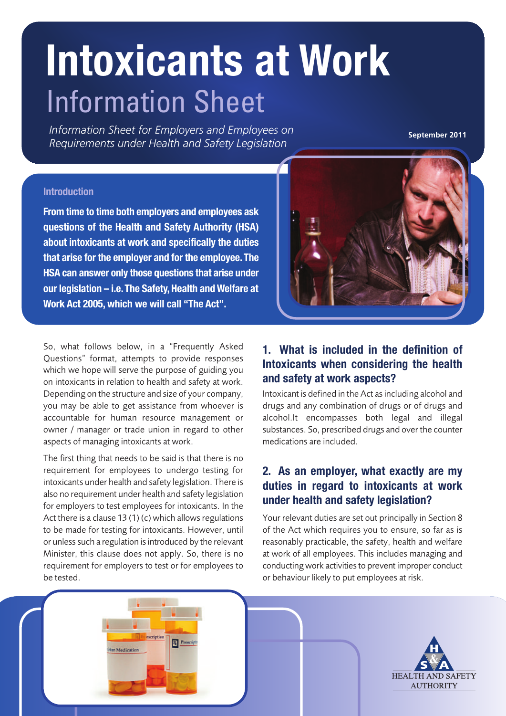# Information Sheet **Intoxicants at Work**

**September <sup>2011</sup>** *Information Sheet for Employers and Employees on Requirements under Health and Safety Legislation*

#### **Introduction**

**From time to time both employers and employees ask questions of the Health and Safety Authority (HSA) about intoxicants at work and specifically the duties that arise for the employer and for the employee. The HSA can answer only those questions that arise under our legislation – i.e.The Safety, Health andWelfare at Work Act 2005, which we will call "The Act".**

**So, what follows below, in a "Frequently Asked Questions" format, attempts to provide responses which we hope will serve the purpose of guiding you on intoxicants in relation to health and safety at work. Depending on the structure and size of your company, you may be able to get assistance from whoever is accountable for human resource management or owner / manager or trade union in regard to other aspects of managing intoxicants at work.**

**The first thing that needs to be said is that there is no requirement for employees to undergo testing for intoxicants under health and safety legislation. There is also no requirement under health and safety legislation for employers to test employees for intoxicants. In the Act there is a clause 13 (1) (c) which allowsregulations to be made for testing for intoxicants. However, until or unlesssuch a regulation isintroduced by the relevant Minister, this clause does not apply. So, there is no requirement for employers to test or for employees to be tested.**



#### **1. What is included in the definition of Intoxicants when considering the health and safety at work aspects?**

**Intoxicant is defined in the Act asincluding alcohol and drugs and any combination of drugs or of drugs and alcohol.It encompasses both legal and illegal substances. So, prescribed drugs and over the counter medications are included.**

#### **2. As an employer, what exactly are my duties in regard to intoxicants at work under health and safety legislation?**

**Your relevant duties are set out principally in Section 8 of the Act which requires you to ensure, so far as is reasonably practicable, the safety, health and welfare at work of all employees. This includes managing and conducting work activitiesto prevent improper conduct or behaviour likely to put employees at risk.**

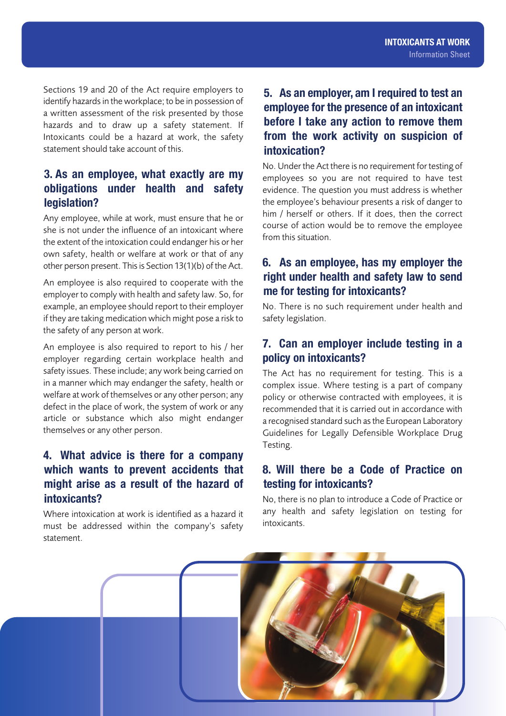**Sections 19 and 20 of the Act require employers to identify hazardsin the workplace; to be in possession of a written assessment of the risk presented by those hazards and to draw up a safety statement. If Intoxicants could be a hazard at work, the safety statement should take account of this.**

# **3. As an employee, what exactly are my obligations under health and safety legislation?**

**Any employee, while at work, must ensure that he or she is not under the influence of an intoxicant where the extent of the intoxication could endanger his or her own safety, health or welfare at work or that of any other person present. Thisis Section 13(1)(b) of the Act.**

**An employee is also required to cooperate with the employer to comply with health and safety law. So, for example, an employee should report to their employer if they are taking medication which might pose a risk to the safety of any person at work.**

**An employee is also required to report to his / her employer regarding certain workplace health and safety issues. These include; any work being carried on in a manner which may endanger the safety, health or welfare at work of themselves or any other person; any defect in the place of work, the system of work or any article or substance which also might endanger themselves or any other person.**

## **4. What advice is there for a company which wants to prevent accidents that might arise as a result of the hazard of intoxicants?**

**Where intoxication at work is identified as a hazard it must be addressed within the company's safety statement.**

# **5. As an employer, am I required to test an employee for the presence of an intoxicant before I take any action to remove them from the work activity on suspicion of intoxication?**

**No. Under the Act there is no requirement for testing of employees so you are not required to have test evidence. The question you must address is whether the employee's behaviour presents a risk of danger to him / herself or others. If it does, then the correct course of action would be to remove the employee from this situation.**

#### **6. As an employee, has my employer the right under health and safety law to send me for testing for intoxicants?**

**No. There is no such requirement under health and safety legislation.**

#### **7. Can an employer include testing in a policy on intoxicants?**

**The Act has no requirement for testing. This is a complex issue. Where testing is a part of company policy or otherwise contracted with employees, it is recommended that it is carried out in accordance with a recognised standard such asthe European Laboratory Guidelines for Legally Defensible Workplace Drug Testing.**

#### **8. Will there be a Code of Practice on testing for intoxicants?**

**No, there is no plan to introduce a Code of Practice or any health and safety legislation on testing for intoxicants.**

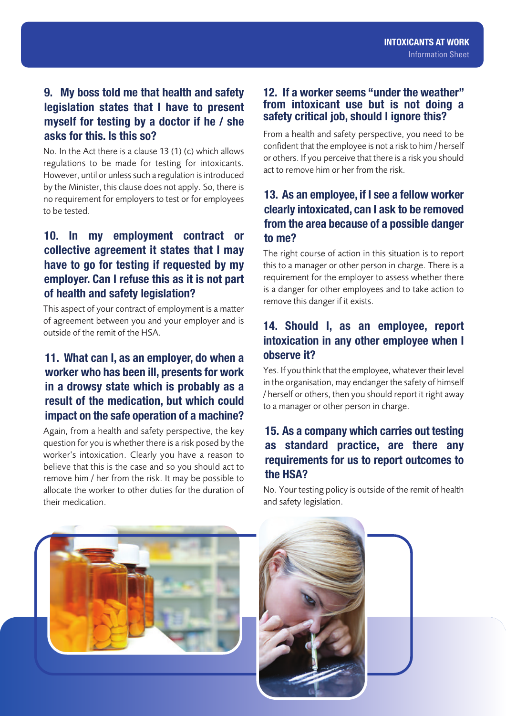# **9. My boss told me that health and safety legislation states that I have to present myself for testing by a doctor if he / she asks for this. Is this so?**

**No. In the Act there is a clause 13 (1) (c) which allows regulations to be made for testing for intoxicants. However, until or unlesssuch a regulation isintroduced by the Minister, this clause does not apply. So, there is no requirement for employers to test or for employees to be tested.**

# **10. In my employment contract or collective agreement it states that I may have to go for testing if requested by my employer. Can I refuse this as it is not part of health and safety legislation?**

**This aspect of your contract of employment is a matter of agreement between you and your employer and is outside of the remit of the HSA.**

# **11. What can I, as an employer, do when a worker who has been ill, presents for work in a drowsy state which is probably as a result of the medication, but which could impact on the safe operation of a machine?**

**Again, from a health and safety perspective, the key question for you is whether there is a risk posed by the worker's intoxication. Clearly you have a reason to believe that this is the case and so you should act to remove him / her from the risk. It may be possible to allocate the worker to other duties for the duration of their medication.**

#### **12. If a worker seems "under the weather" from intoxicant use but is not doing a safety critical job, should I ignore this?**

**From a health and safety perspective, you need to be confident that the employee is not a risk to him / herself or others. If you perceive that there is a risk you should act to remove him or her from the risk.**

# **13. As an employee, if I see a fellow worker clearly intoxicated, can I ask to be removed from the area because of a possible danger to me?**

**The right course of action in this situation is to report this to a manager or other person in charge. There is a requirement for the employer to assess whether there is a danger for other employees and to take action to remove this danger if it exists.**

# **14. Should I, as an employee, report intoxication in any other employee when I observe it?**

**Yes. If you think that the employee, whatever their level in the organisation, may endanger the safety of himself / herself or others, then you should report it right away to a manager or other person in charge.**

# **15. As a company which carries out testing as standard practice, are there any requirements for us to report outcomes to the HSA?**

**No. Your testing policy is outside of the remit of health and safety legislation.**